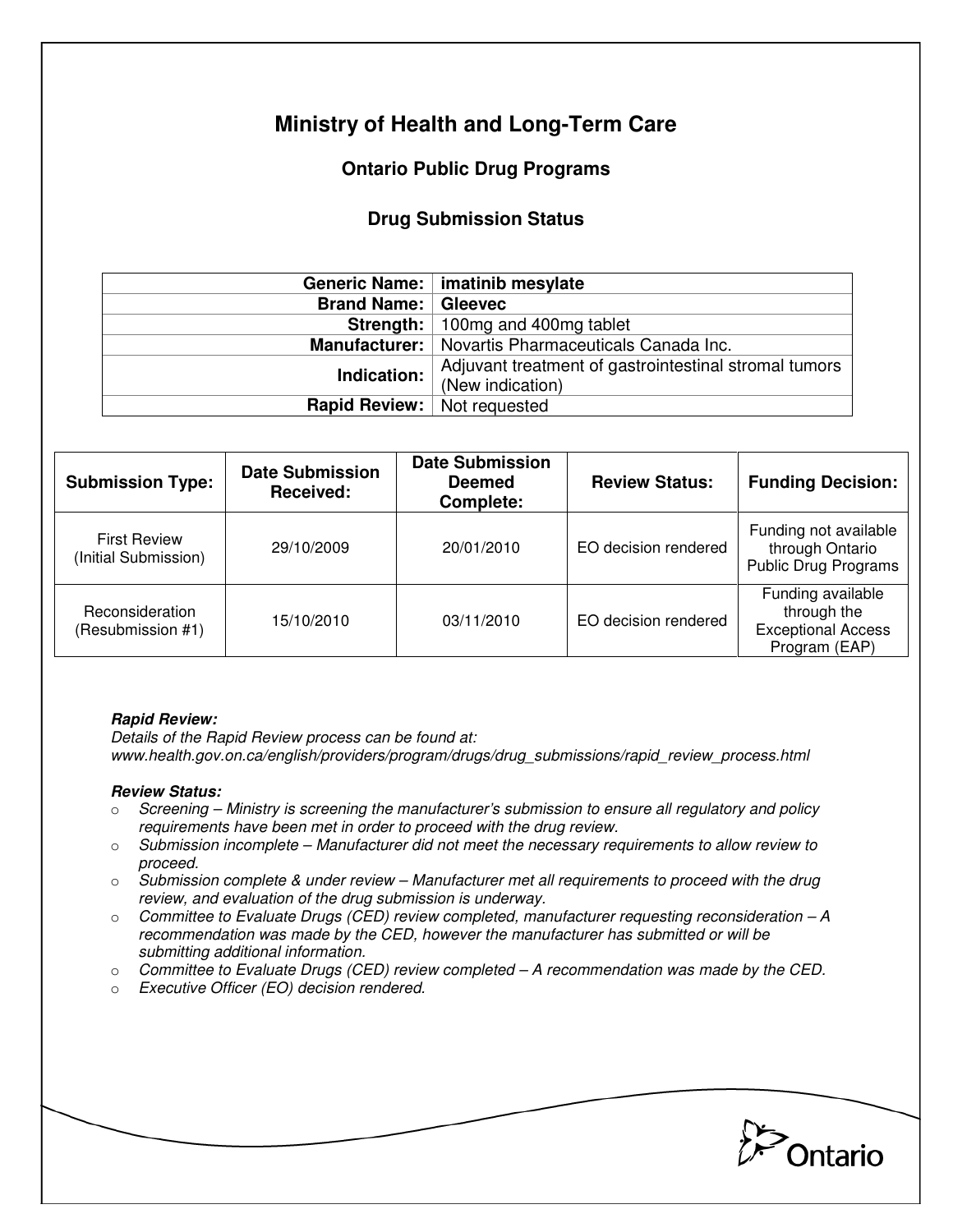# **Ministry of Health and Long-Term Care**

# **Ontario Public Drug Programs**

## **Drug Submission Status**

|                              | Generic Name:   imatinib mesylate                                         |  |  |
|------------------------------|---------------------------------------------------------------------------|--|--|
| <b>Brand Name:   Gleevec</b> |                                                                           |  |  |
|                              | <b>Strength:</b> 100mg and 400mg tablet                                   |  |  |
|                              | <b>Manufacturer:</b>   Novartis Pharmaceuticals Canada Inc.               |  |  |
| Indication:                  | Adjuvant treatment of gastrointestinal stromal tumors<br>(New indication) |  |  |
| <b>Rapid Review:</b>         | Not requested                                                             |  |  |

| <b>Submission Type:</b>                     | <b>Date Submission</b><br>Received: | <b>Date Submission</b><br><b>Deemed</b><br><b>Complete:</b> | <b>Review Status:</b> | <b>Funding Decision:</b>                                                       |
|---------------------------------------------|-------------------------------------|-------------------------------------------------------------|-----------------------|--------------------------------------------------------------------------------|
| <b>First Review</b><br>(Initial Submission) | 29/10/2009                          | 20/01/2010                                                  | EO decision rendered  | Funding not available<br>through Ontario<br><b>Public Drug Programs</b>        |
| Reconsideration<br>(Resubmission #1)        | 15/10/2010                          | 03/11/2010                                                  | EO decision rendered  | Funding available<br>through the<br><b>Exceptional Access</b><br>Program (EAP) |

#### **Rapid Review:**

Details of the Rapid Review process can be found at: www.health.gov.on.ca/english/providers/program/drugs/drug\_submissions/rapid\_review\_process.html

### **Review Status:**

- $\circ$  Screening Ministry is screening the manufacturer's submission to ensure all regulatory and policy requirements have been met in order to proceed with the drug review.
- $\circ$  Submission incomplete Manufacturer did not meet the necessary requirements to allow review to proceed.
- $\circ$  Submission complete & under review Manufacturer met all requirements to proceed with the drug review, and evaluation of the drug submission is underway.
- $\circ$  Committee to Evaluate Drugs (CED) review completed, manufacturer requesting reconsideration A recommendation was made by the CED, however the manufacturer has submitted or will be submitting additional information.
- $\circ$  Committee to Evaluate Drugs (CED) review completed A recommendation was made by the CED.
- o Executive Officer (EO) decision rendered.